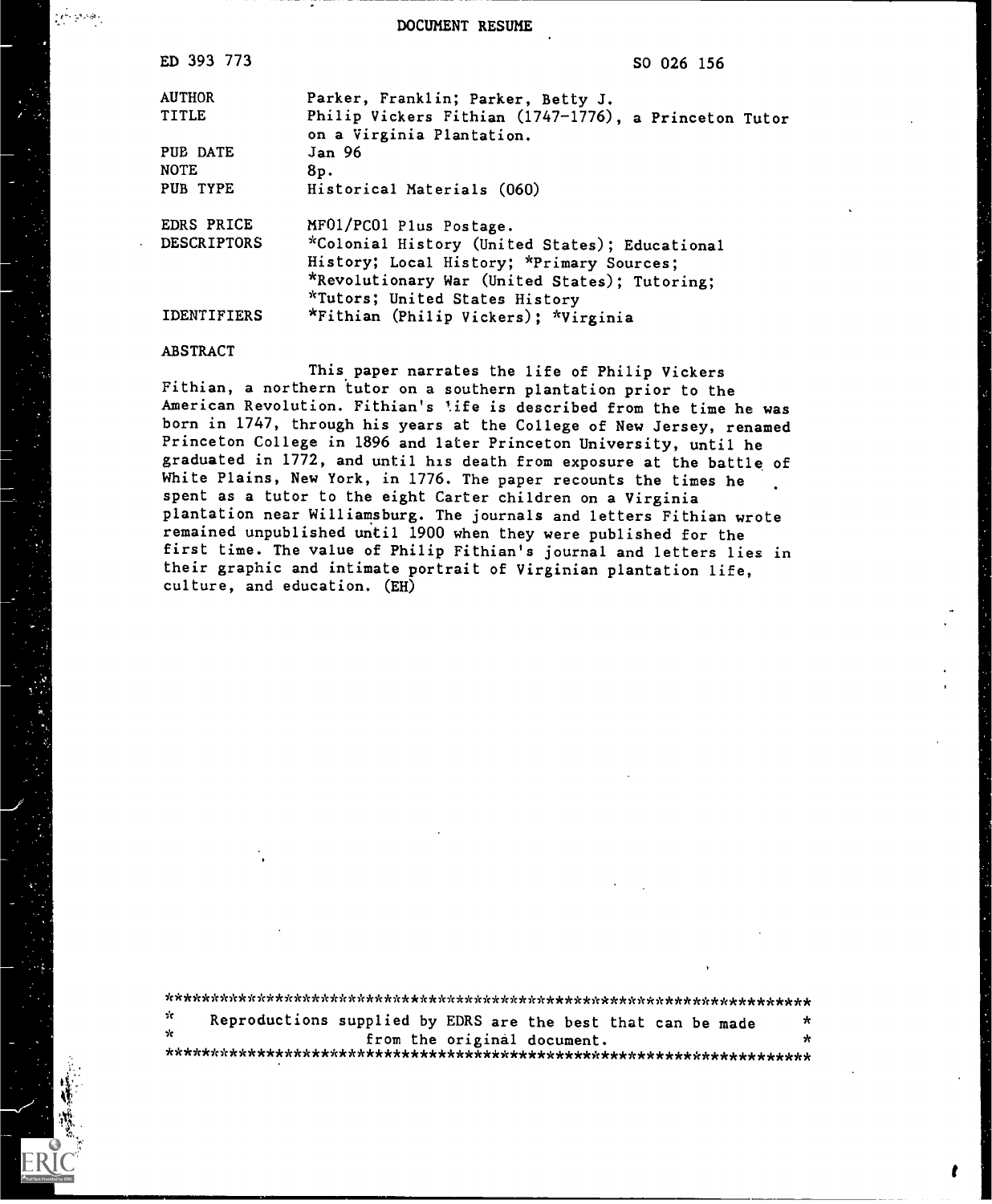DOCUMENT RESUME

| ED 393 773         | SO 026 156                                                                         |
|--------------------|------------------------------------------------------------------------------------|
| <b>AUTHOR</b>      | Parker, Franklin; Parker, Betty J.                                                 |
| <b>TITLE</b>       | Philip Vickers Fithian (1747-1776), a Princeton Tutor<br>on a Virginia Plantation. |
| PUB DATE           | Jan 96                                                                             |
| <b>NOTE</b>        | 8p.                                                                                |
| PUB TYPE           | Historical Materials (060)                                                         |
| <b>EDRS PRICE</b>  | MF01/PC01 Plus Postage.                                                            |
| <b>DESCRIPTORS</b> | *Colonial History (United States); Educational                                     |
|                    | History; Local History; *Primary Sources;                                          |
|                    | *Revolutionary War (United States); Tutoring;                                      |
|                    | *Tutors; United States History                                                     |
| <b>IDENTIFIERS</b> | *Fithian (Philip Vickers); *Virginia                                               |

## ABSTRACT

 $\mathcal{L}^{\mu\nu}$  yes as

This paper narrates the life of Philip Vickers Fithian, a northern tutor on a southern plantation prior to the American Revolution. Fithian's life is described from the time he was born in 1747, through his years at the College of New Jersey, renamed Princeton College in 1896 and later Princeton University, until he graduated in 1772, and until his death from exposure at the battle of White Plains, New York, in 1776. The paper recounts the times he spent as a tutor to the eight Carter children on a Virginia plantation near Williamsburg. The journals and letters Fithian wrote remained unpublished until 1900 when they were published for the first time. The value of Philip Fithian's journal and letters lies in their graphic and intimate portrait of Virginian plantation life, culture, and education. (EH)

| - 20 | Reproductions supplied by EDRS are the best that can be made |  |
|------|--------------------------------------------------------------|--|
|      | from the original document.                                  |  |

\*\*\*\*\*\*\*\*\*\*\*\*\*\*\*\*\*\*\*\*\*\*\*\*\*\*\*\*\*\*\*\*\*\*\*\*\*\*\*\*\*\*\*\*\*\*\*\*\*\*\*\*\*\*\*\*\*\*\*\*\*\*\*\*\*\*\*\*\*\*\*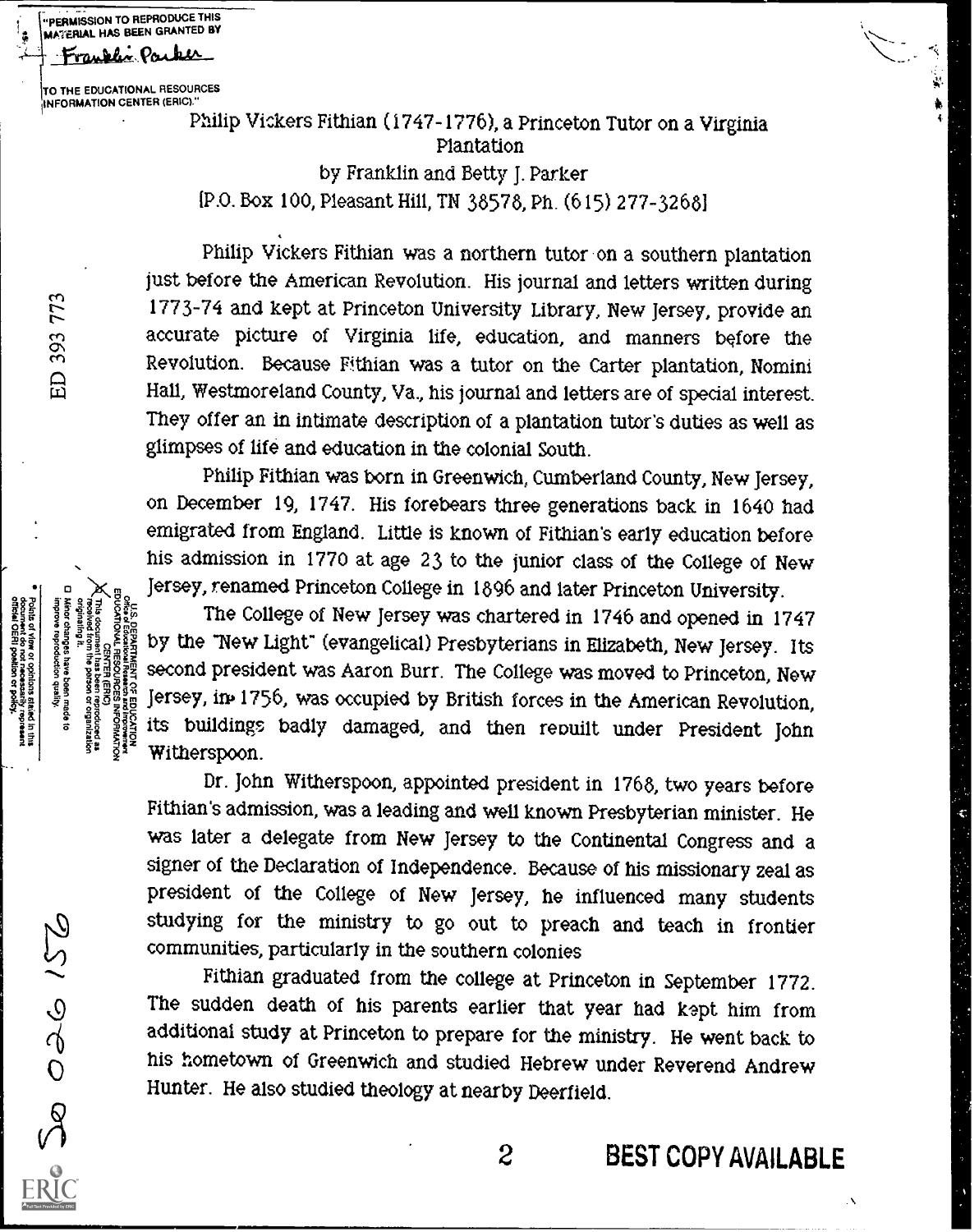TO THE EDUCATIONAL RESOURCES (INFORMATION CENTER (ERIC)."

Franklin Parker

**III) IN ATERIAL HAS BEEN GRANTED BY** "PERMISSION TO REPRODUCE THIS

> Philip Vickers Fithian (1747-1776), a Princeton Tutor on a Virginia Plantation by Franklin and Betty J. Parker [P.O. Box 100, Pleasant Hill, TN 38578, Ph. (615) 277-32681

Philip Vickers Fithian was a northern tutor on a southern plantation just before the American Revolution. His journal and letters written during 1773-74 and kept at Princeton University Library, New Jersey, provide an accurate picture of Virginia life, education, and manners before the Revolution. Because Fithian was a tutor on the Carter plantation, Nomini Hall, Westmoreland County, Va., his journal and letters are of special interest. They offer an in intimate description of a plantation tutor's duties as well as glimpses of life and education in the colonial South.

Philip Fithian was born in Greenwich, Cumberland County, New Jersey, on December 19, 1747. His forebears three generations back in 1640 had emigrated from England. Little is known of Fithian's early education before his admission in 1770 at age 23 to the junior class of the College of New Jersey, renamed Princeton College in 1896 and later Princeton University.

The College of New Jersey was chartered in 1746 and opened in 1747 by the New Light" (evangelical) Presbyterians in Elizabeth, New Jersey. Its second president was Aaron Burr. The College was moved to Princeton, New Jersey, in 1756, was occupied by British forces in the American Revolution, its buildings badly damaged, and then reouilt under President John Witherspoon.

Dr. John Witherspoon, appointed president in 1768, two years before Fithian's admission, was a leading and well known Presbyterian minister. He was later a delegate from New Jersey to the Continental Congress and a signer of the Declaration of Independence. Because of his missionary zeal as president of the College of New Jersey, he influenced many students studying for the ministry to go out to preach and teach in frontier communities, particularly in the southern colonies

Fithian graduated from the college at Princeton in September 1772. The sudden death of his parents earlier that year had kept him from additional study at Princeton to prepare for the ministry. He went back to his hometown of Greenwich and studied Hebrew under Reverend Andrew Hunter. He also studied theology at nearby Deerfield.

d in thus<br>present

 $2000000$ 

2 BEST COPY AVAILABLE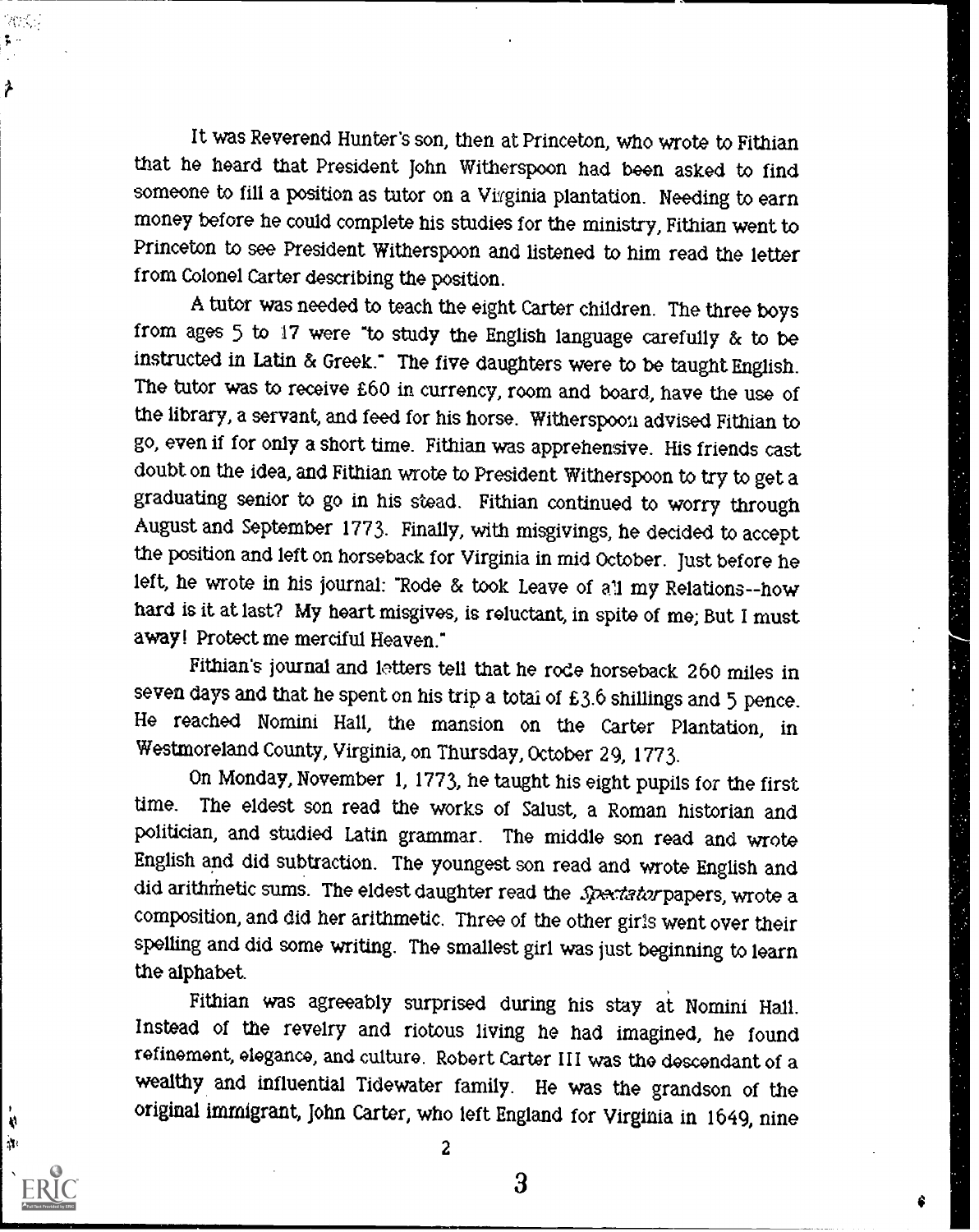It was Reverend Hunter's son, then at Princeton, who wrote to Fithian that he heard that President John Witherspoon had been asked to find someone to fill a position as tutor on a Virginia plantation. Needing to earn money before he could complete his studies for the ministry, Fithian went to Princeton to see President Witherspoon and listened to him read the letter from Colonel Carter describing the position.

次次

X)  $\mathbf{u}$ 

A tutor was needed to teach the eight Carter children. The three boys from ages 5 to 17 were "to study the English language carefully  $\alpha$  to be instructed in Latin & Greek." The five daughters were to be taught English. The tutor was to receive £60 in currency, room and board, have the use of the library, a servant, and feed for his horse. Witherspoon advised Fithian to go, even if for only a short time. Fithian was apprehensive. His friends cast doubt on the idea, and Fithian wrote to President Witherspoon to try to get a graduating senior to go in his stead. Fithian continued to worry through August and September 1773. Finally, with misgivings, he decided to accept the position and left on horseback for Virginia in mid October. Just before he left, he wrote in his journal: "Rode & took Leave of all my Relations--how hard is it at last? My heart misgives, is reluctant, in spite of me; But I must away! Protect me merciful Heaven."

Fithian's journal and letters tell that he rode horseback 260 miles in seven days and that he spent on his trip a total of £3.6 shillings and 5 pence. He reached Nomini Hall, the mansion on the Carter Plantation, in Westmoreland County, Virginia, on Thursday, October 29, 1773.

On Monday, November 1, 1773, he taught his eight pupils for the first time. The eldest son read the works of Salust, a Roman historian and politician, and studied Latin grammar. The middle son read and wrote English and did subtraction. The youngest son read and wrote English and did arithmetic sums. The eldest daughter read the Spectator papers, wrote a composition, and did her arithmetic. Three of the other girls went over their spelling and did some writing. The smallest girl was just beginning to learn the alphabet.

Fithian was agreeably surprised during his stay at Nomini Hall. Instead of the revelry and riotous living he had imagined, he found refinement, elegance, and culture. Robert Carter III was the descendant of a wealthy and influential Tidewater family. He was the grandson of the original immigrant, John Carter, who left England for Virginia in 1649, nine

2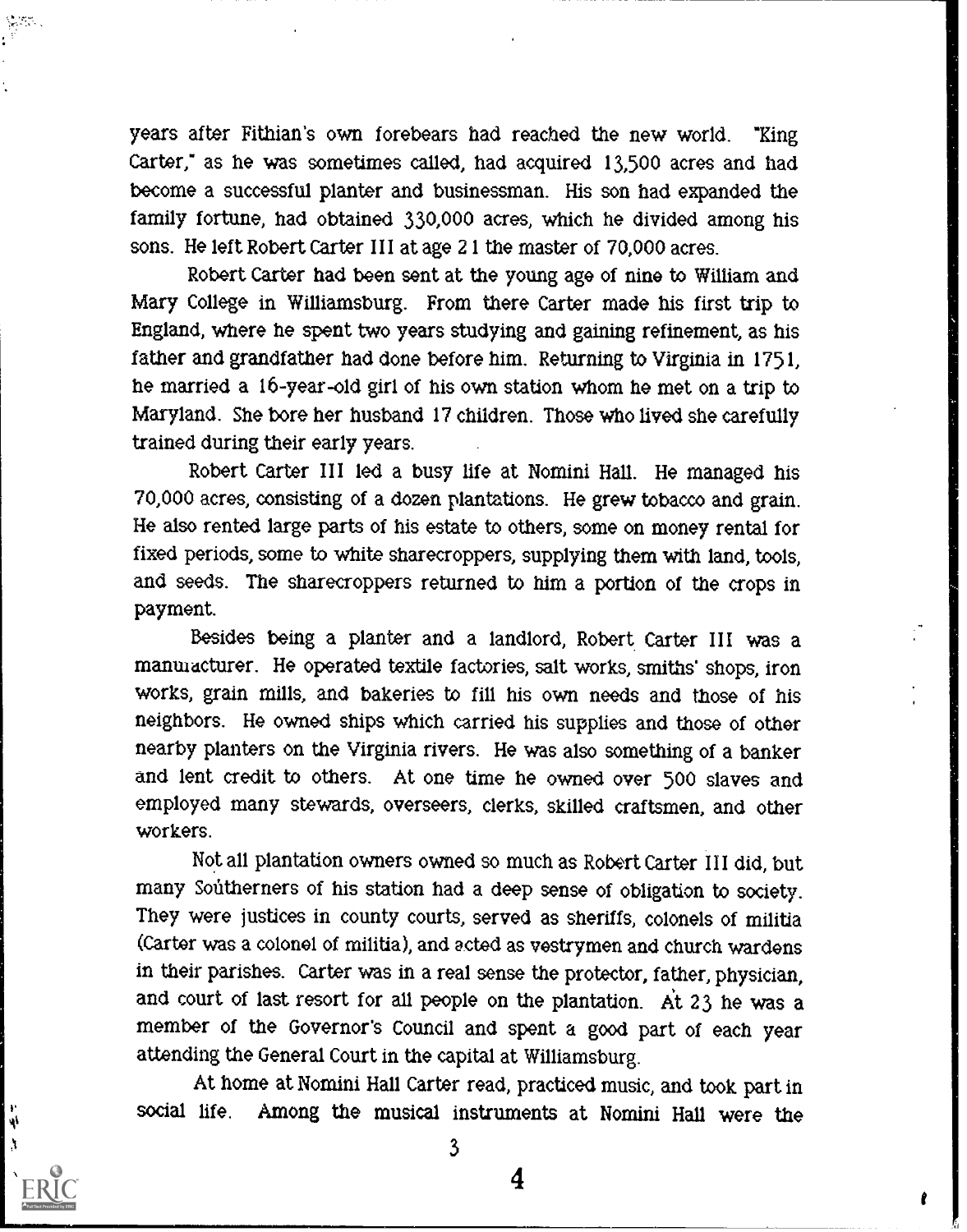years after Fithian's own forebears had reached the new world. "King Carter," as he was sometimes called, had acquired 13,500 acres and had become a successful planter and businessman. His son had expanded the family fortune, had obtained 330,000 acres, which he divided among his sons. He left Robert Carter III at age 21 the master of 70,000 acres.

Robert Carter had been sent at the young age of nine to William and Mary College in Williamsburg. From there Carter made his first trip to England, where he spent two years studying and gaining refinement, as his father and grandfather had done before him. Returning to Virginia in 1751, he married a 16-year-old girl of his own station whom he met on a trip to Maryland. She bore her husband 17 children. Those who lived she carefully trained during their early years.

Robert Carter III led a busy life at Nomini Hall. He managed his 70,000 acres, consisting of a dozen plantations. He grew tobacco and grain. He also rented large parts of his estate to others, some on money rental for fixed periods, some to white sharecroppers, supplying them with land, tools, and seeds. The sharecroppers returned to him a portion of the crops in payment.

Besides being a planter and a landlord, Robert. Carter III was a manulacturer. He operated textile factories, salt works, smiths' shops, iron works, grain mills, and bakeries to fill his own needs and those of his neighbors. He owned ships which carried his supplies and those of other nearby planters on the Virginia rivers. He was also something of a banker and lent credit to others. At one time he owned over 500 slaves and employed many stewards, overseers, clerks, skilled craftsmen, and other workers.

Not all plantation owners owned so much as Robert Carter III did, but many Southerners of his station had a deep sense of obligation to society. They were justices in county courts, served as sheriffs, colonels of militia (Carter was a colonel of militia), and acted as vestrymen and church wardens in their parishes. Carter was in a real sense the protector, father, physician, and court of last resort for all people on the plantation. At 23 he was a member of the Governor's Council and spent a good part of each year attending the General Court in the capital at Williamsburg.

At home at Nomini Hall Carter read, practiced music, and took part in social life. Among the musical instruments at Nomini Hall were the

À

ψ

3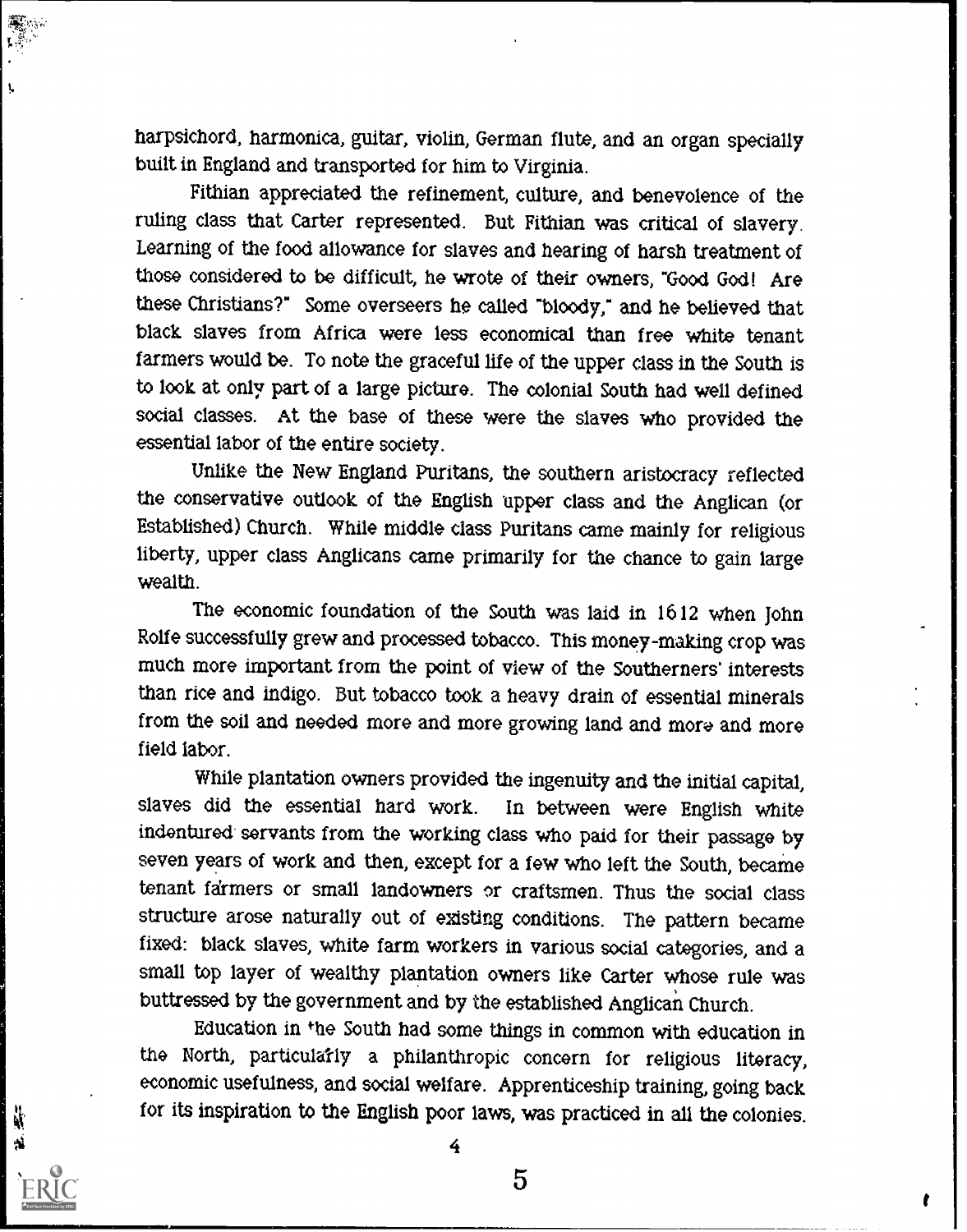harpsichord, harmonica, guitar, violin, German flute, and an organ specially built in England and transported for him to Virginia.

Fithian appreciated the refinement, culture, and benevolence of the ruling class that Carter represented. But Fithian was critical of slavery. Learning of the food allowance for slaves and hearing of harsh treatment of those considered to be difficult, he wrote of their owners, "Good God! Are these Christians?" Some overseers he called 'bloody," and he believed that black slaves from Africa were less economical than free white tenant farmers would be. To note the graceful life of the upper class in the South is to look at only part of a large picture. The colonial South had well defined social classes. At the base of these were the slaves who provided the essential labor of the entire society.

Unlike the New England Puritans, the southern aristocracy reflected the conservative outlook of the English upper class and the Anglican (or Established) Church. While middle class Puritans came mainly for religious liberty, upper class Anglicans came primarily for the chance to gain large wealth.

The economic foundation of the South was laid in 1612 when John Rolfe successfully grew and processed tobacco. This money-making crop was much more important from the point of view of the Southerners' interests than rice and indigo. But tobacco took a heavy drain of essential minerals from the soil and needed more and more growing land and more and more field labor.

While plantation owners provided the ingenuity and the initial capital, slaves did the essential hard work. In between were English white indentured. servants from the working class who paid for their passage by seven years of work and then, except for a few who left the South, became tenant farmers or small landowners or craftsmen. Thus the social class structure arose naturally out of existing conditions. The pattern became fixed: black slaves, white farm workers in various social categories, and a small top layer of wealthy plantation owners like Carter whose rule was buttressed by the government and by the established Anglican Church.

Education in the South had some things in common with education in the North, particularly a philanthropic concern for religious literacy, economic usefulness, and social welfare. Apprenticeship training, going back for its inspiration to the English poor laws, was practiced in all the colonies.

4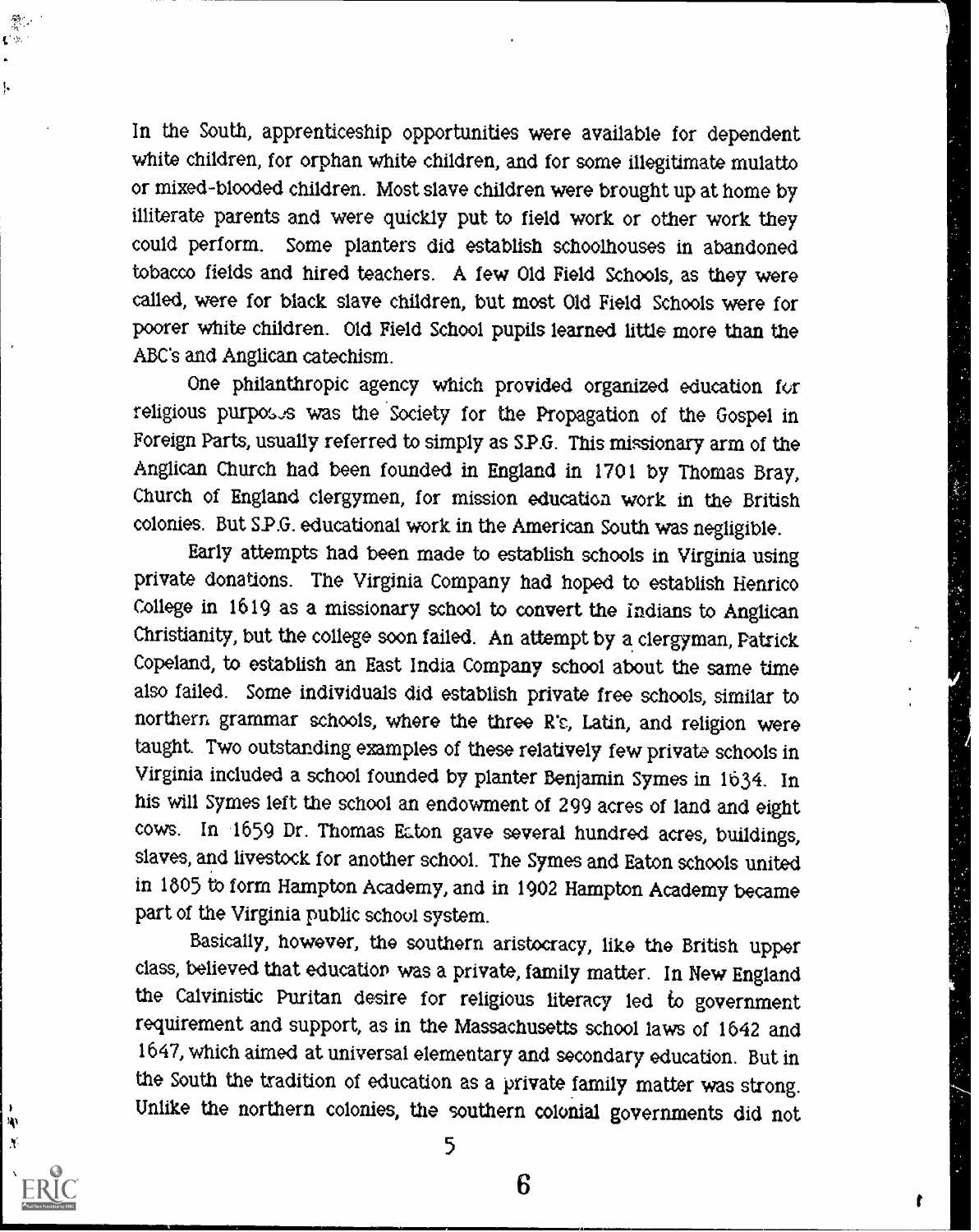In the South, apprenticeship opportunities were available for dependent white children, for orphan white children, and for some illegitimate mulatto or mixed-blooded children. Most slave children were brought up at home by illiterate parents and were quickly put to field work or other work they could perform. Some planters did establish schoolhouses in abandoned tobacco fields and hired teachers. A few Old Field Schools, as they were called, were for black slave children, but most Old Field Schools were for poorer white children. Old Field School pupils learned little more than the ABC's and Anglican catechism.

τŵ

ļ,

N, X

One philanthropic agency which provided organized education for religious purposes was the Society for the Propagation of the Gospel in Foreign Parts, usually referred to simply as S.P.G. This missionary arm of the Anglican Church had been founded in England in 1701 by Thomas Bray, Church of England clergymen, for mission education work in the British colonies. But SP.G. educational work in the American South was negligible.

Early attempts had been made to establish schools in Virginia using private donations. The Virginia Company had hoped to establish Henrico College in 1619 as a missionary school to convert the Indians to Anglican Christianity, but the college soon failed. An attempt by a clergyman, Patrick Copeland, to establish an East India Company school about the same time also failed. Some individuals did establish private free schools, similar to northern grammar schools, where the three We, Latin, and religion were taught. Two outstanding examples of these relatively few private schools in Virginia included a school founded by planter Benjamin Symes in 1634. In his will Symes left the school an endowment of 299 acres of land and eight cows. In 1659 Dr. Thomas Eaton gave several hundred acres, buildings, slaves, and livestock for another school. The Symes and Eaton schools united in 1605 to form Hampton Academy, and in 1902 Hampton Academy became part of the Virginia public school system.

Basically, however, the southern aristocracy, like the British upper class, believed that education was a private, family matter. In New England the Calvinistic Puritan desire for religious literacy led to government requirement and support, as in the Massachusetts school laws of 1642 and 1647, which aimed at universal elementary and secondary education. But in the South the tradition of education as a private family matter was strong. Unlike the northern colonies, the southern colonial governments did not

5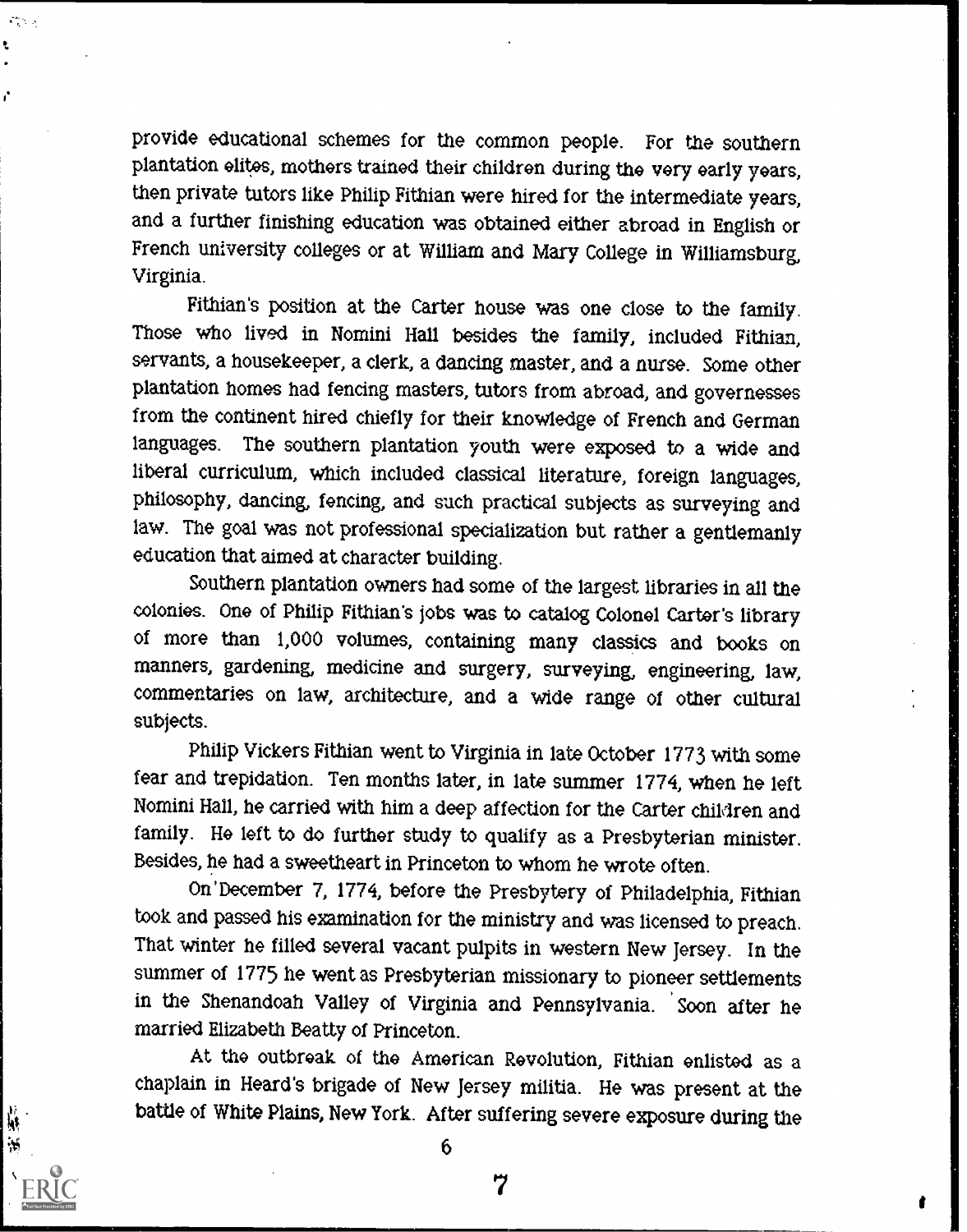provide educational schemes for the common people. For the southern plantation elites, mothers trained their children during the very early years, then private tutors like Philip Fithian were hired for the intermediate years, and a further finishing education was obtained either abroad in English or French university colleges or at William and Mary College in Williamsburg, Virginia.

 $\mathcal{L}_{\mathcal{A}}^{\mathcal{A}}(\mathcal{A})$  is

И

Fithian's position at the Carter house was one close to the family Those who lived in Nomini Hall besides the family, included Fithian, servants, a housekeeper, a clerk, a dancing master, and a nurse. Some other plantation homes had fencing masters, tutors from abroad, and governesses from the continent hired chiefly for their knowledge of French and German languages. The southern plantation youth were exposed to a wide and liberal curriculum, which included classical literature, foreign languages, philosophy, dancing, fencing, and such practical subjects as surveying and law. The goal was not professional specialization but rather a gentlemanly education that aimed at character building.

Southern plantation owners had some of the largest libraries in all the colonies. One of Philip Fithian's jobs was to catalog Colonel Carter's library of more than 1,000 volumes, containing many classics and books on manners, gardening, medicine and surgery, surveying, engineering, law, commentaries on law, architecture, and a wide range of other cultural subjects.

Philip Vickers Fithian went to Virginia in late October 1773 with some fear and trepidation. Ten months later, in late summer 1774, when he left Nomini Hall, he carried with him a deep affection for the Carter children and family. He left to do further study to qualify as a Presbyterian minister. Besides, he had a sweetheart in Princeton to whom he wrote often.

On 'December 7, 1774, before the Presbytery of Philadelphia, Fithian took and passed his examination for the ministry and was licensed to preach. That winter he filled several vacant pulpits in western New Jersey. In the summer of 1775 he went as Presbyterian missionary to pioneer settlements in the Shenandoah Valley of Virginia and Pennsylvania. Soon after he married Elizabeth Beatty of Princeton.

At the outbreak of the American Revolution, Fithian enlisted as a chaplain in Heard's brigade of New Jersey militia. He was present at the battle of White Plains, New York. After suffering severe exposure during the

6